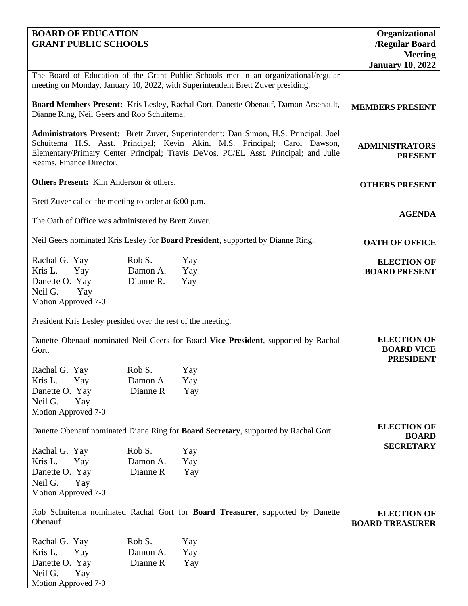| <b>BOARD OF EDUCATION</b>   |
|-----------------------------|
| <b>GRANT PUBLIC SCHOOLS</b> |

| <b>BOARD OF EDUCATION</b><br><b>GRANT PUBLIC SCHOOLS</b>     |           |                                                                                                                                                                                                                                                          | Organizational<br>/Regular Board<br><b>Meeting</b>          |
|--------------------------------------------------------------|-----------|----------------------------------------------------------------------------------------------------------------------------------------------------------------------------------------------------------------------------------------------------------|-------------------------------------------------------------|
|                                                              |           |                                                                                                                                                                                                                                                          | <b>January 10, 2022</b>                                     |
|                                                              |           | The Board of Education of the Grant Public Schools met in an organizational/regular<br>meeting on Monday, January 10, 2022, with Superintendent Brett Zuver presiding.                                                                                   |                                                             |
| Dianne Ring, Neil Geers and Rob Schuitema.                   |           | Board Members Present: Kris Lesley, Rachal Gort, Danette Obenauf, Damon Arsenault,                                                                                                                                                                       | <b>MEMBERS PRESENT</b>                                      |
| Reams, Finance Director.                                     |           | Administrators Present: Brett Zuver, Superintendent; Dan Simon, H.S. Principal; Joel<br>Schuitema H.S. Asst. Principal; Kevin Akin, M.S. Principal; Carol Dawson,<br>Elementary/Primary Center Principal; Travis DeVos, PC/EL Asst. Principal; and Julie | <b>ADMINISTRATORS</b><br><b>PRESENT</b>                     |
| <b>Others Present:</b> Kim Anderson & others.                |           |                                                                                                                                                                                                                                                          | <b>OTHERS PRESENT</b>                                       |
| Brett Zuver called the meeting to order at 6:00 p.m.         |           |                                                                                                                                                                                                                                                          |                                                             |
| The Oath of Office was administered by Brett Zuver.          |           |                                                                                                                                                                                                                                                          | <b>AGENDA</b>                                               |
|                                                              |           | Neil Geers nominated Kris Lesley for Board President, supported by Dianne Ring.                                                                                                                                                                          | <b>OATH OF OFFICE</b>                                       |
| Rachal G. Yay                                                | Rob S.    | Yay                                                                                                                                                                                                                                                      | <b>ELECTION OF</b>                                          |
| Kris L.<br>Yay                                               | Damon A.  | Yay                                                                                                                                                                                                                                                      | <b>BOARD PRESENT</b>                                        |
| Danette O. Yay<br>Neil G.<br>Yay<br>Motion Approved 7-0      | Dianne R. | Yay                                                                                                                                                                                                                                                      |                                                             |
| President Kris Lesley presided over the rest of the meeting. |           |                                                                                                                                                                                                                                                          |                                                             |
| Gort.                                                        |           | Danette Obenauf nominated Neil Geers for Board Vice President, supported by Rachal                                                                                                                                                                       | <b>ELECTION OF</b><br><b>BOARD VICE</b><br><b>PRESIDENT</b> |
| Rachal G. Yay                                                | Rob S.    | Yay                                                                                                                                                                                                                                                      |                                                             |
| Kris L.<br>Yay                                               | Damon A.  | Yay                                                                                                                                                                                                                                                      |                                                             |
| Danette O. Yay                                               | Dianne R  | Yay                                                                                                                                                                                                                                                      |                                                             |
| Neil G.<br>Yay<br>Motion Approved 7-0                        |           |                                                                                                                                                                                                                                                          |                                                             |
|                                                              |           | Danette Obenauf nominated Diane Ring for Board Secretary, supported by Rachal Gort                                                                                                                                                                       | <b>ELECTION OF</b>                                          |
|                                                              |           |                                                                                                                                                                                                                                                          | <b>BOARD</b>                                                |
| Rachal G. Yay                                                | Rob S.    | Yay                                                                                                                                                                                                                                                      | <b>SECRETARY</b>                                            |
| Kris L.<br>Yay                                               | Damon A.  | Yay                                                                                                                                                                                                                                                      |                                                             |
| Danette O. Yay                                               | Dianne R  | Yay                                                                                                                                                                                                                                                      |                                                             |
| Neil G.<br>Yay                                               |           |                                                                                                                                                                                                                                                          |                                                             |
| Motion Approved 7-0                                          |           |                                                                                                                                                                                                                                                          |                                                             |
| Obenauf.                                                     |           | Rob Schuitema nominated Rachal Gort for Board Treasurer, supported by Danette                                                                                                                                                                            | <b>ELECTION OF</b><br><b>BOARD TREASURER</b>                |
| Rachal G. Yay                                                | Rob S.    | Yay                                                                                                                                                                                                                                                      |                                                             |
| Kris L.<br>Yay                                               | Damon A.  | Yay                                                                                                                                                                                                                                                      |                                                             |
| Danette O. Yay                                               | Dianne R  | Yay                                                                                                                                                                                                                                                      |                                                             |
| Neil G.<br>Yay                                               |           |                                                                                                                                                                                                                                                          |                                                             |
| Motion Approved 7-0                                          |           |                                                                                                                                                                                                                                                          |                                                             |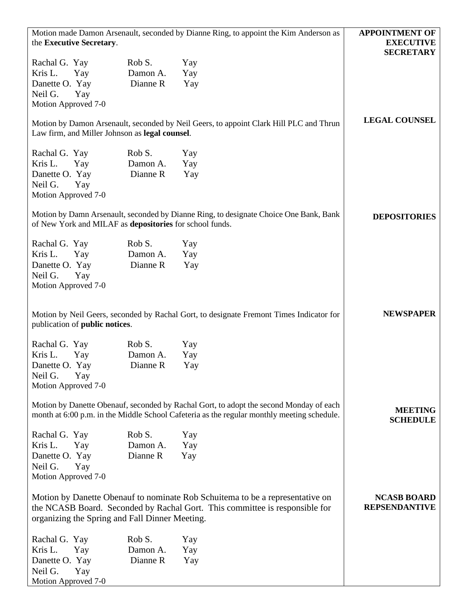| Motion made Damon Arsenault, seconded by Dianne Ring, to appoint the Kim Anderson as<br>the Executive Secretary.                                                                     | <b>APPOINTMENT OF</b><br><b>EXECUTIVE</b><br><b>SECRETARY</b> |                                                                                                                                                              |                                            |
|--------------------------------------------------------------------------------------------------------------------------------------------------------------------------------------|---------------------------------------------------------------|--------------------------------------------------------------------------------------------------------------------------------------------------------------|--------------------------------------------|
| Rachal G. Yay<br>Kris L.<br>Yay<br>Danette O. Yay<br>Neil G.<br>Yay<br>Motion Approved 7-0                                                                                           | Rob S.<br>Damon A.<br>Dianne R                                | Yay<br>Yay<br>Yay                                                                                                                                            |                                            |
| Motion by Damon Arsenault, seconded by Neil Geers, to appoint Clark Hill PLC and Thrun<br>Law firm, and Miller Johnson as legal counsel.                                             | <b>LEGAL COUNSEL</b>                                          |                                                                                                                                                              |                                            |
| Rachal G. Yay<br>Kris L.<br>Yay<br>Danette O. Yay<br>Neil G.<br>Yay<br>Motion Approved 7-0                                                                                           | Rob S.<br>Damon A.<br>Dianne R                                | Yay<br>Yay<br>Yay                                                                                                                                            |                                            |
| Motion by Damn Arsenault, seconded by Dianne Ring, to designate Choice One Bank, Bank<br>of New York and MILAF as depositories for school funds.                                     |                                                               |                                                                                                                                                              | <b>DEPOSITORIES</b>                        |
| Rachal G. Yay<br>Kris L.<br>Yay<br>Danette O. Yay<br>Neil G.<br>Yay<br>Motion Approved 7-0                                                                                           | Rob S.<br>Damon A.<br>Dianne R                                | Yay<br>Yay<br>Yay                                                                                                                                            |                                            |
| publication of <b>public notices</b> .                                                                                                                                               |                                                               | Motion by Neil Geers, seconded by Rachal Gort, to designate Fremont Times Indicator for                                                                      | <b>NEWSPAPER</b>                           |
| Rachal G. Yay<br>Kris L.<br>Yay<br>Danette O. Yay<br>Neil G.<br>Yay<br>Motion Approved 7-0                                                                                           | Rob S.<br>Damon A.<br>Dianne R                                | Yay<br>Yay<br>Yay                                                                                                                                            |                                            |
| Motion by Danette Obenauf, seconded by Rachal Gort, to adopt the second Monday of each<br>month at 6:00 p.m. in the Middle School Cafeteria as the regular monthly meeting schedule. |                                                               |                                                                                                                                                              | <b>MEETING</b><br><b>SCHEDULE</b>          |
| Rachal G. Yay<br>Kris L.<br>Yay<br>Danette O. Yay<br>Neil G.<br>Yay<br>Motion Approved 7-0                                                                                           | Rob S.<br>Damon A.<br>Dianne R                                | Yay<br>Yay<br>Yay                                                                                                                                            |                                            |
| organizing the Spring and Fall Dinner Meeting.                                                                                                                                       |                                                               | Motion by Danette Obenauf to nominate Rob Schuitema to be a representative on<br>the NCASB Board. Seconded by Rachal Gort. This committee is responsible for | <b>NCASB BOARD</b><br><b>REPSENDANTIVE</b> |
| Rachal G. Yay<br>Kris L.<br>Yay<br>Danette O. Yay<br>Neil G.<br>Yay<br>Motion Approved 7-0                                                                                           | Rob S.<br>Damon A.<br>Dianne R                                | Yay<br>Yay<br>Yay                                                                                                                                            |                                            |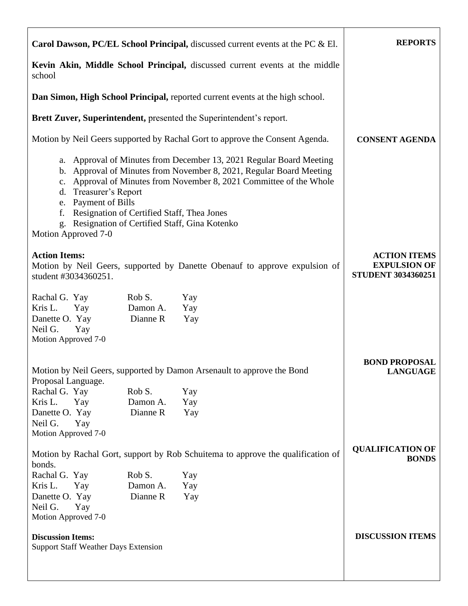|                                                                                                                                                                                                                                                                                                                                                                                                                      | <b>Carol Dawson, PC/EL School Principal,</b> discussed current events at the PC $\&$ El. | <b>REPORTS</b>                                                          |
|----------------------------------------------------------------------------------------------------------------------------------------------------------------------------------------------------------------------------------------------------------------------------------------------------------------------------------------------------------------------------------------------------------------------|------------------------------------------------------------------------------------------|-------------------------------------------------------------------------|
| Kevin Akin, Middle School Principal, discussed current events at the middle<br>school                                                                                                                                                                                                                                                                                                                                |                                                                                          |                                                                         |
| Dan Simon, High School Principal, reported current events at the high school.                                                                                                                                                                                                                                                                                                                                        |                                                                                          |                                                                         |
|                                                                                                                                                                                                                                                                                                                                                                                                                      | Brett Zuver, Superintendent, presented the Superintendent's report.                      |                                                                         |
|                                                                                                                                                                                                                                                                                                                                                                                                                      | Motion by Neil Geers supported by Rachal Gort to approve the Consent Agenda.             | <b>CONSENT AGENDA</b>                                                   |
| a. Approval of Minutes from December 13, 2021 Regular Board Meeting<br>b. Approval of Minutes from November 8, 2021, Regular Board Meeting<br>Approval of Minutes from November 8, 2021 Committee of the Whole<br>$c_{\cdot}$<br>Treasurer's Report<br>d.<br>Payment of Bills<br>e.<br>Resignation of Certified Staff, Thea Jones<br>f.<br>Resignation of Certified Staff, Gina Kotenko<br>g.<br>Motion Approved 7-0 |                                                                                          |                                                                         |
| <b>Action Items:</b><br>student #3034360251.                                                                                                                                                                                                                                                                                                                                                                         | Motion by Neil Geers, supported by Danette Obenauf to approve expulsion of               | <b>ACTION ITEMS</b><br><b>EXPULSION OF</b><br><b>STUDENT 3034360251</b> |
| Rob S.<br>Rachal G. Yay<br>Kris L.<br>Damon A.<br>Yay<br>Dianne R<br>Danette O. Yay<br>Neil G.<br>Yay<br>Motion Approved 7-0                                                                                                                                                                                                                                                                                         | Yay<br>Yay<br>Yay                                                                        |                                                                         |
| Proposal Language.                                                                                                                                                                                                                                                                                                                                                                                                   | Motion by Neil Geers, supported by Damon Arsenault to approve the Bond                   | <b>BOND PROPOSAL</b><br><b>LANGUAGE</b>                                 |
| Rachal G. Yay<br>Rob S.<br>Kris L.<br>Yay<br>Damon A.<br>Dianne R<br>Danette O. Yay<br>Neil G.<br>Yay<br>Motion Approved 7-0                                                                                                                                                                                                                                                                                         | Yay<br>Yay<br>Yay                                                                        |                                                                         |
| bonds.                                                                                                                                                                                                                                                                                                                                                                                                               | Motion by Rachal Gort, support by Rob Schuitema to approve the qualification of          | <b>QUALIFICATION OF</b><br><b>BONDS</b>                                 |
| Rachal G. Yay<br>Rob S.<br>Kris L.<br>Damon A.<br>Yay<br>Dianne R<br>Danette O. Yay<br>Neil G.<br>Yay<br>Motion Approved 7-0                                                                                                                                                                                                                                                                                         | Yay<br>Yay<br>Yay                                                                        |                                                                         |
| <b>Discussion Items:</b><br><b>Support Staff Weather Days Extension</b>                                                                                                                                                                                                                                                                                                                                              |                                                                                          | <b>DISCUSSION ITEMS</b>                                                 |